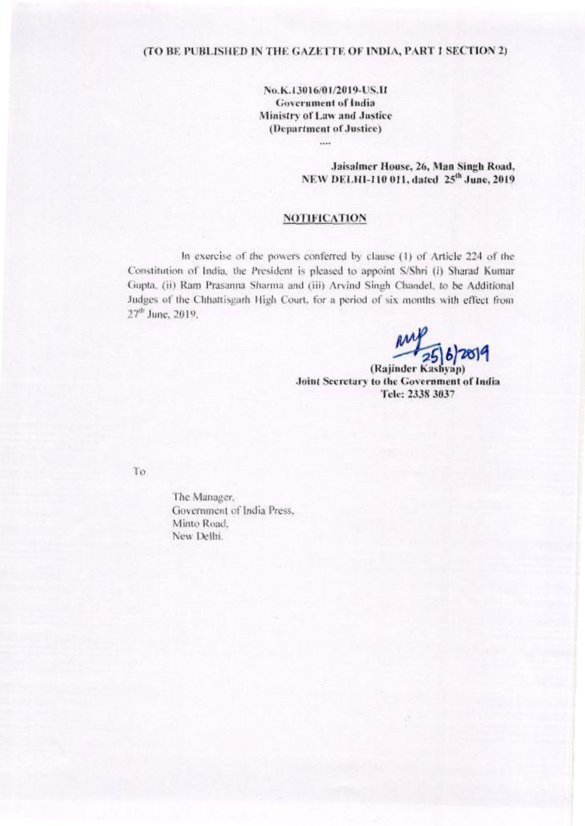## (TO BE PUBLISHED IN THE GAZETTE OF INDIA, PART 1 SECTION 2)

No.K.13016/01/2019-US.II **Government of India** Ministry of Law and Justice (Department of Justice)

> Jaisalmer House, 26, Man Singh Road, NEW DELHI-110 011, dated 25<sup>th</sup> June, 2019

## **NOTIFICATION**

In exercise of the powers conferred by clause (1) of Article 224 of the Constitution of India, the President is pleased to appoint S/Shri (i) Sharad Kumar Gupta, (ii) Ram Prasanna Sharma and (iii) Arvind Singh Chandel, to be Additional Judges of the Chhattisgarh High Court, for a period of six months with effect from 27<sup>th</sup> June, 2019.

 $\frac{11}{256}$ 

(Rajinder Kashyap) Joint Secretary to the Government of India Tele: 2338 3037

To

The Manager, Government of India Press. Minto Road, New Delhi.